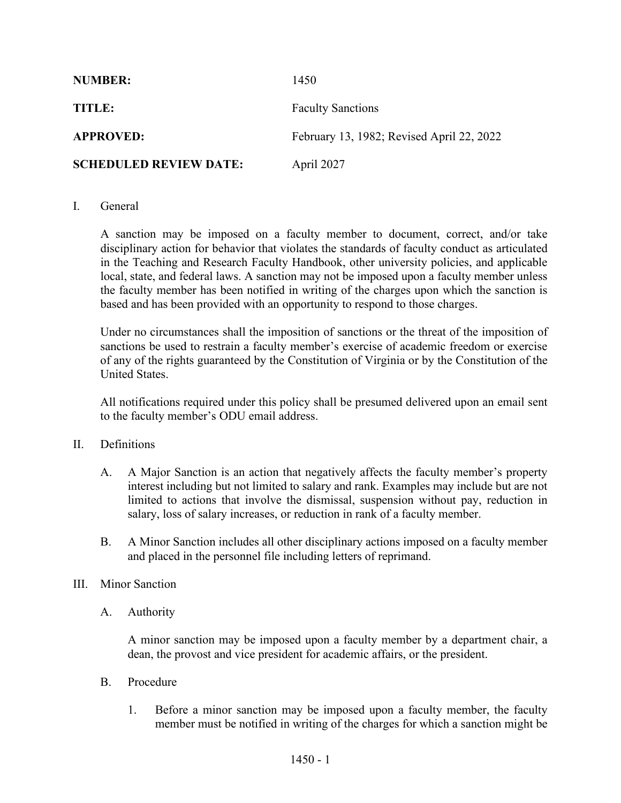| <b>NUMBER:</b>                | 1450                                      |
|-------------------------------|-------------------------------------------|
| TITLE:                        | <b>Faculty Sanctions</b>                  |
| <b>APPROVED:</b>              | February 13, 1982; Revised April 22, 2022 |
| <b>SCHEDULED REVIEW DATE:</b> | April 2027                                |

## I. General

A sanction may be imposed on a faculty member to document, correct, and/or take disciplinary action for behavior that violates the standards of faculty conduct as articulated in the Teaching and Research Faculty Handbook, other university policies, and applicable local, state, and federal laws. A sanction may not be imposed upon a faculty member unless the faculty member has been notified in writing of the charges upon which the sanction is based and has been provided with an opportunity to respond to those charges.

Under no circumstances shall the imposition of sanctions or the threat of the imposition of sanctions be used to restrain a faculty member's exercise of academic freedom or exercise of any of the rights guaranteed by the Constitution of Virginia or by the Constitution of the United States.

All notifications required under this policy shall be presumed delivered upon an email sent to the faculty member's ODU email address.

## II. Definitions

- A. A Major Sanction is an action that negatively affects the faculty member's property interest including but not limited to salary and rank. Examples may include but are not limited to actions that involve the dismissal, suspension without pay, reduction in salary, loss of salary increases, or reduction in rank of a faculty member.
- B. A Minor Sanction includes all other disciplinary actions imposed on a faculty member and placed in the personnel file including letters of reprimand.

## III. Minor Sanction

A. Authority

A minor sanction may be imposed upon a faculty member by a department chair, a dean, the provost and vice president for academic affairs, or the president.

- B. Procedure
	- 1. Before a minor sanction may be imposed upon a faculty member, the faculty member must be notified in writing of the charges for which a sanction might be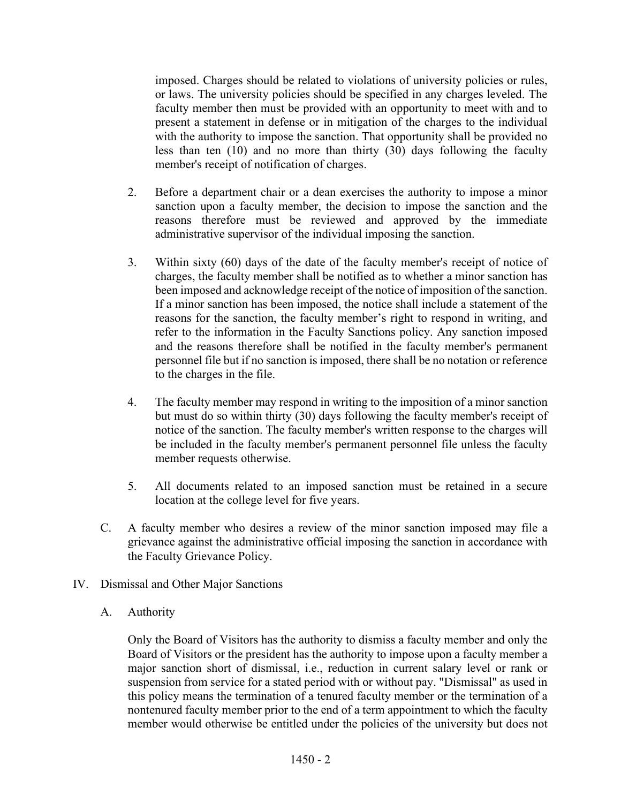imposed. Charges should be related to violations of university policies or rules, or laws. The university policies should be specified in any charges leveled. The faculty member then must be provided with an opportunity to meet with and to present a statement in defense or in mitigation of the charges to the individual with the authority to impose the sanction. That opportunity shall be provided no less than ten (10) and no more than thirty (30) days following the faculty member's receipt of notification of charges.

- 2. Before a department chair or a dean exercises the authority to impose a minor sanction upon a faculty member, the decision to impose the sanction and the reasons therefore must be reviewed and approved by the immediate administrative supervisor of the individual imposing the sanction.
- 3. Within sixty (60) days of the date of the faculty member's receipt of notice of charges, the faculty member shall be notified as to whether a minor sanction has been imposed and acknowledge receipt of the notice of imposition of the sanction. If a minor sanction has been imposed, the notice shall include a statement of the reasons for the sanction, the faculty member's right to respond in writing, and refer to the information in the Faculty Sanctions policy. Any sanction imposed and the reasons therefore shall be notified in the faculty member's permanent personnel file but if no sanction is imposed, there shall be no notation or reference to the charges in the file.
- 4. The faculty member may respond in writing to the imposition of a minor sanction but must do so within thirty (30) days following the faculty member's receipt of notice of the sanction. The faculty member's written response to the charges will be included in the faculty member's permanent personnel file unless the faculty member requests otherwise.
- 5. All documents related to an imposed sanction must be retained in a secure location at the college level for five years.
- C. A faculty member who desires a review of the minor sanction imposed may file a grievance against the administrative official imposing the sanction in accordance with the Faculty Grievance Policy.
- IV. Dismissal and Other Major Sanctions
	- A. Authority

Only the Board of Visitors has the authority to dismiss a faculty member and only the Board of Visitors or the president has the authority to impose upon a faculty member a major sanction short of dismissal, i.e., reduction in current salary level or rank or suspension from service for a stated period with or without pay. "Dismissal" as used in this policy means the termination of a tenured faculty member or the termination of a nontenured faculty member prior to the end of a term appointment to which the faculty member would otherwise be entitled under the policies of the university but does not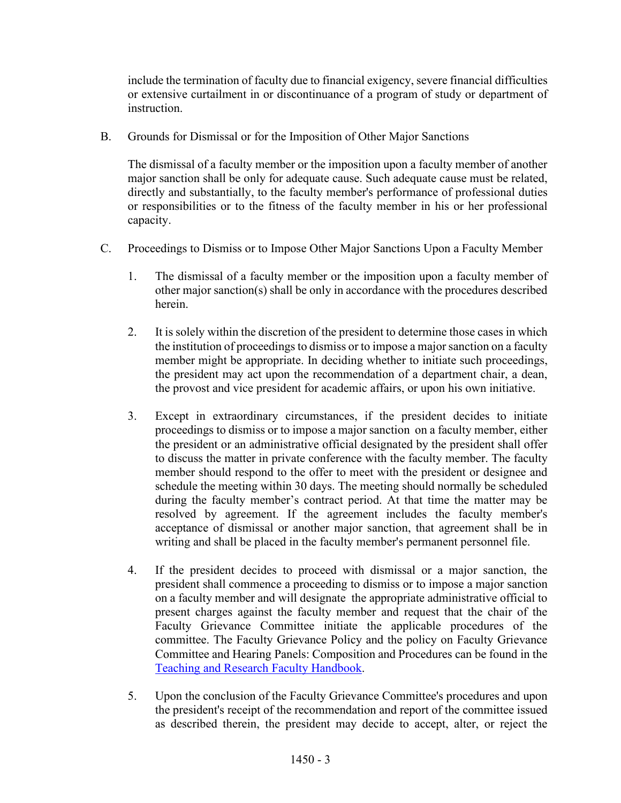include the termination of faculty due to financial exigency, severe financial difficulties or extensive curtailment in or discontinuance of a program of study or department of instruction.

B. Grounds for Dismissal or for the Imposition of Other Major Sanctions

The dismissal of a faculty member or the imposition upon a faculty member of another major sanction shall be only for adequate cause. Such adequate cause must be related, directly and substantially, to the faculty member's performance of professional duties or responsibilities or to the fitness of the faculty member in his or her professional capacity.

- C. Proceedings to Dismiss or to Impose Other Major Sanctions Upon a Faculty Member
	- 1. The dismissal of a faculty member or the imposition upon a faculty member of other major sanction(s) shall be only in accordance with the procedures described herein.
	- 2. It is solely within the discretion of the president to determine those cases in which the institution of proceedings to dismiss or to impose a major sanction on a faculty member might be appropriate. In deciding whether to initiate such proceedings, the president may act upon the recommendation of a department chair, a dean, the provost and vice president for academic affairs, or upon his own initiative.
	- 3. Except in extraordinary circumstances, if the president decides to initiate proceedings to dismiss or to impose a major sanction on a faculty member, either the president or an administrative official designated by the president shall offer to discuss the matter in private conference with the faculty member. The faculty member should respond to the offer to meet with the president or designee and schedule the meeting within 30 days. The meeting should normally be scheduled during the faculty member's contract period. At that time the matter may be resolved by agreement. If the agreement includes the faculty member's acceptance of dismissal or another major sanction, that agreement shall be in writing and shall be placed in the faculty member's permanent personnel file.
	- 4. If the president decides to proceed with dismissal or a major sanction, the president shall commence a proceeding to dismiss or to impose a major sanction on a faculty member and will designate the appropriate administrative official to present charges against the faculty member and request that the chair of the Faculty Grievance Committee initiate the applicable procedures of the committee. The Faculty Grievance Policy and the policy on Faculty Grievance Committee and Hearing Panels: Composition and Procedures can be found in the [Teaching and Research Faculty Handbook.](https://www.odu.edu/humanresources/employee/handbooks/faculty)
	- 5. Upon the conclusion of the Faculty Grievance Committee's procedures and upon the president's receipt of the recommendation and report of the committee issued as described therein, the president may decide to accept, alter, or reject the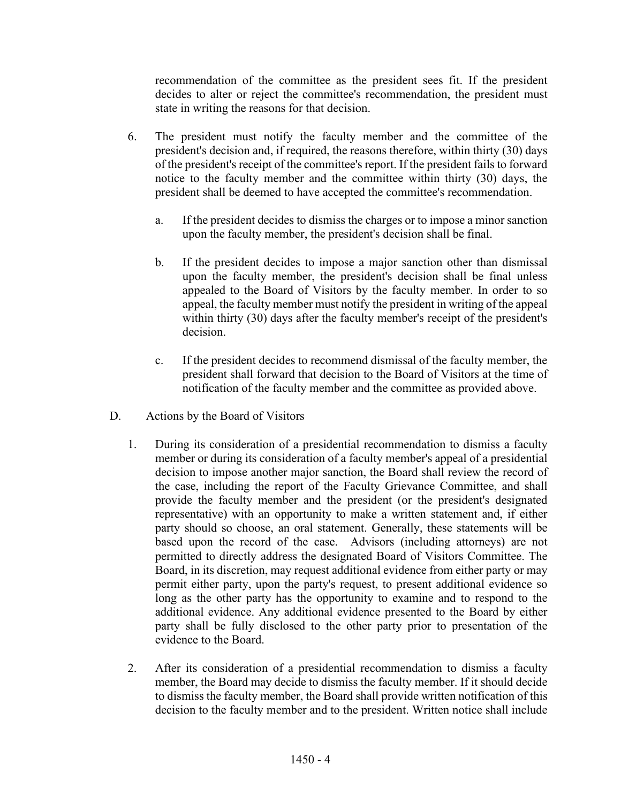recommendation of the committee as the president sees fit. If the president decides to alter or reject the committee's recommendation, the president must state in writing the reasons for that decision.

- 6. The president must notify the faculty member and the committee of the president's decision and, if required, the reasons therefore, within thirty (30) days of the president's receipt of the committee's report. If the president fails to forward notice to the faculty member and the committee within thirty (30) days, the president shall be deemed to have accepted the committee's recommendation.
	- a. If the president decides to dismiss the charges or to impose a minor sanction upon the faculty member, the president's decision shall be final.
	- b. If the president decides to impose a major sanction other than dismissal upon the faculty member, the president's decision shall be final unless appealed to the Board of Visitors by the faculty member. In order to so appeal, the faculty member must notify the president in writing of the appeal within thirty (30) days after the faculty member's receipt of the president's decision.
	- c. If the president decides to recommend dismissal of the faculty member, the president shall forward that decision to the Board of Visitors at the time of notification of the faculty member and the committee as provided above.
- D. Actions by the Board of Visitors
	- 1. During its consideration of a presidential recommendation to dismiss a faculty member or during its consideration of a faculty member's appeal of a presidential decision to impose another major sanction, the Board shall review the record of the case, including the report of the Faculty Grievance Committee, and shall provide the faculty member and the president (or the president's designated representative) with an opportunity to make a written statement and, if either party should so choose, an oral statement. Generally, these statements will be based upon the record of the case. Advisors (including attorneys) are not permitted to directly address the designated Board of Visitors Committee. The Board, in its discretion, may request additional evidence from either party or may permit either party, upon the party's request, to present additional evidence so long as the other party has the opportunity to examine and to respond to the additional evidence. Any additional evidence presented to the Board by either party shall be fully disclosed to the other party prior to presentation of the evidence to the Board.
	- 2. After its consideration of a presidential recommendation to dismiss a faculty member, the Board may decide to dismiss the faculty member. If it should decide to dismiss the faculty member, the Board shall provide written notification of this decision to the faculty member and to the president. Written notice shall include